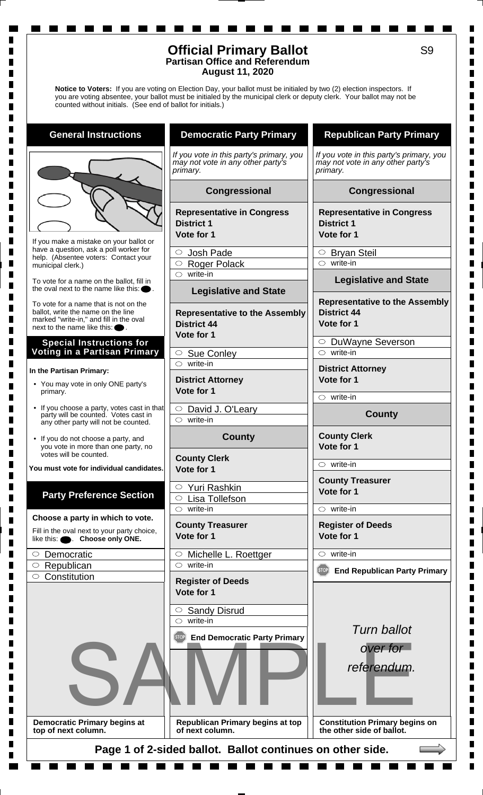## **Official Primary Ballot Partisan Office and Referendum August 11, 2020**

**Notice to Voters:** If you are voting on Election Day, your ballot must be initialed by two (2) election inspectors. If you are voting absentee, your ballot must be initialed by the municipal clerk or deputy clerk. Your ballot may not be counted without initials. (See end of ballot for initials.)

**General Instructions**

If you make a mistake on your ballot or have a question, ask a poll worker for help. (Absentee voters: Contact your municipal clerk.)

ш

П

To vote for a name on the ballot, fill in the oval next to the name like this:

To vote for a name that is not on the ballot, write the name on the line marked "write-in," and fill in the oval next to the name like this:

#### **Special Instructions for Voting in a Partisan Primary**

#### **In the Partisan Primary:**

- You may vote in only ONE party's primary.
- If you choose a party, votes cast in that party will be counted. Votes cast in any other party will not be counted.
- If you do not choose a party, and you vote in more than one party, no votes will be counted.

**You must vote for individual candidates.**

# **Party Preference Section**

**Choose a party in which to vote.**

Fill in the oval next to your party choice, like this:  $\bullet$  **Choose only ONE.** 

| $\circ$ Democratic   |
|----------------------|
| $\circ$ Republican   |
| $\circ$ Constitution |
|                      |

**Democratic Primary begins at top of next column.**

# **Democratic Party Primary**

*If you vote in this party's primary, you may not vote in any other party's primary.*

#### **Congressional**

**Representative in Congress District 1**

**Vote for 1**

 $\circ$ Josh Pade

O Roger Polack

 $\circ$  write-in

### **Legislative and State**

**Representative to the Assembly District 44 Vote for 1**

 $\circ$  Sue Conley

write-in

**District Attorney Vote for 1**

 $\circ$  David J. O'Leary  $\circ$  write-in

# **County**

**County Clerk Vote for 1**

Yuri Rashkin Lisa Tollefson  $\circ$  write-in

**County Treasurer Vote for 1**

 $\circ$  Michelle L. Roettger  $\circ$  write-in

**Register of Deeds Vote for 1**

 $\circ$  Sandy Disrud write-in

**End Democratic Party Primary**



**Republican Primary begins at top of next column.**

# **Republican Party Primary**

*If you vote in this party's primary, you may not vote in any other party's primary.*

# **Congressional**

**Representative in Congress District 1 Vote for 1**

O Bryan Steil  $\circ$  write-in

**Legislative and State**

#### **Representative to the Assembly District 44 Vote for 1**

DuWayne Severson  $\circ$  write-in

**District Attorney Vote for 1**

 $\circ$  write-in

**County**

**County Clerk Vote for 1**

 $\circ$  write-in

**County Treasurer Vote for 1**

 $\circ$  write-in

**Register of Deeds**

**Vote for 1**  $\circ$  write-in

**End Republican Party Primary**



*referendum.*

**Constitution Primary begins on the other side of ballot.**

**Page 1 of 2-sided ballot. Ballot continues on other side.**

П  $\blacksquare$  $\blacksquare$  $\blacksquare$ Г  $\blacksquare$  $\blacksquare$ H. П  $\blacksquare$  $\blacksquare$ 

 $\blacksquare$  $\blacksquare$ 

П  $\blacksquare$ 

 $\blacksquare$  $\blacksquare$ Г П  $\blacksquare$ П П П  $\blacksquare$  $\blacksquare$ Г Г П  $\blacksquare$  $\blacksquare$  $\blacksquare$  $\blacksquare$  $\blacksquare$ Г Г

Г  $\blacksquare$  $\blacksquare$  $\blacksquare$  $\blacksquare$  $\blacksquare$  $\blacksquare$  $\blacksquare$ 

 $\blacksquare$  $\blacksquare$  $\blacksquare$  $\blacksquare$  $\blacksquare$  $\blacksquare$  $\blacksquare$ П Г Г Г П П